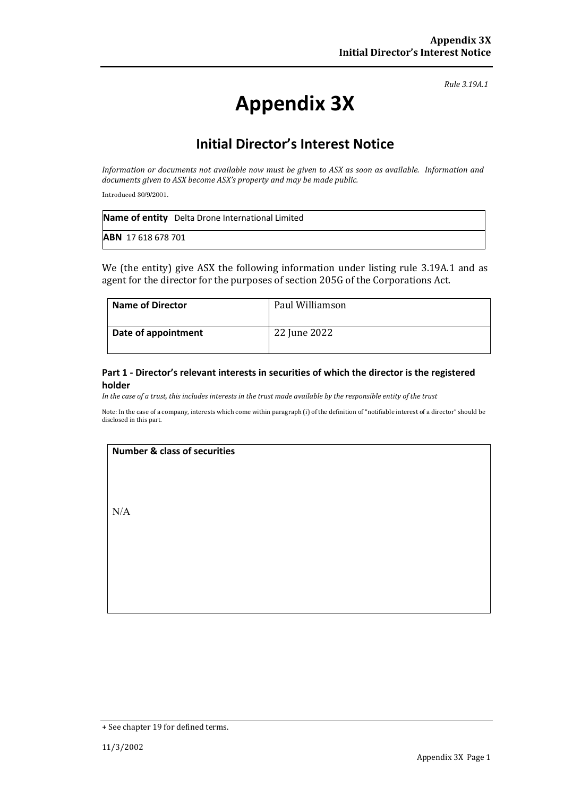*Rule 3.19A.1*

# **Appendix 3X**

# **Initial Director's Interest Notice**

*Information or documents not available now must be given to ASX as soon as available. Information and documents given to ASX become ASX's property and may be made public.*

Introduced 30/9/2001.

|                           | <b>Name of entity</b> Delta Drone International Limited |
|---------------------------|---------------------------------------------------------|
| <b>ABN</b> 17 618 678 701 |                                                         |

We (the entity) give ASX the following information under listing rule 3.19A.1 and as agent for the director for the purposes of section 205G of the Corporations Act.

| <b>Name of Director</b> | Paul Williamson |
|-------------------------|-----------------|
| Date of appointment     | 22 June 2022    |

#### **Part 1 - Director's relevant interests in securities of which the director is the registered holder**

*In the case of a trust, this includes interests in the trust made available by the responsible entity of the trust*

Note: In the case of a company, interests which come within paragraph (i) of the definition of "notifiable interest of a director" should be disclosed in this part.

#### **Number & class of securities**

N/A

<sup>+</sup> See chapter 19 for defined terms.